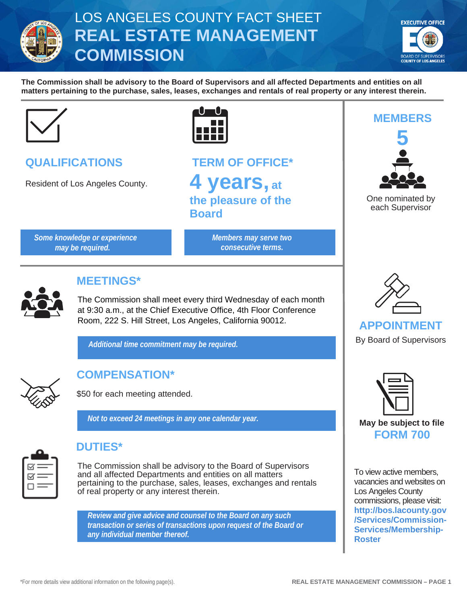

# LOS ANGELES COUNTY FACT SHEET **REAL ESTATE MANAGEMENT COMMISSION**



**The Commission shall be advisory to the Board of Supervisors and all affected Departments and entities on all matters pertaining to the purchase, sales, leases, exchanges and rentals of real property or any interest therein.**



| <b>QUALIFICATIONS</b> |  |
|-----------------------|--|
|                       |  |

Resident of Los Angeles County.



**TERM OF OFFICE\* 4 years, at the pleasure of the Board**

*Some knowledge or experience may be required.*

*Members may serve two consecutive terms.*



## **MEETINGS\***

The Commission shall meet every third Wednesday of each month at 9:30 a.m., at the Chief Executive Office, 4th Floor Conference Room, 222 S. Hill Street, Los Angeles, California 90012.

*Additional time commitment may be required.*



# **COMPENSATION\***

\$50 for each meeting attended.

*Not to exceed 24 meetings in any one calendar year.*



## **DUTIES\***

The Commission shall be advisory to the Board of Supervisors and all affected Departments and entities on all matters pertaining to the purchase, sales, leases, exchanges and rentals of real property or any interest therein.

*Review and give advice and counsel to the Board on any such transaction or series of transactions upon request of the Board or any individual member thereof.*



One nominated by each Supervisor



## **APPOINTMENT**

By Board of Supervisors



To view active members, vacancies and websites on Los Angeles County commissions, please visit: **[http://bos.lacounty.gov](http://bos.lacounty.gov/Services/Commission-Services/Membership-Roster) [/Services/Commission-](http://bos.lacounty.gov/Services/Commission-Services/Membership-Roster)[Services/Membership-](http://bos.lacounty.gov/Services/Commission-Services/Membership-Roster)[Roster](http://bos.lacounty.gov/Services/Commission-Services/Membership-Roster)**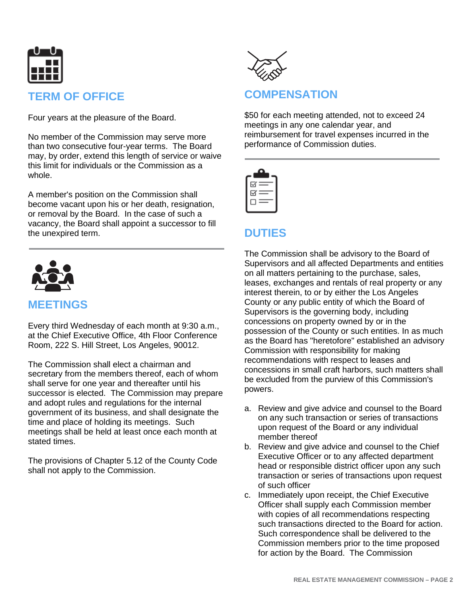

## **TERM OF OFFICE**

Four years at the pleasure of the Board.

No member of the Commission may serve more than two consecutive four-year terms. The Board may, by order, extend this length of service or waive this limit for individuals or the Commission as a whole.

A member's position on the Commission shall become vacant upon his or her death, resignation, or removal by the Board. In the case of such a vacancy, the Board shall appoint a successor to fill the unexpired term.



#### **MEETINGS**

Every third Wednesday of each month at 9:30 a.m., at the Chief Executive Office, 4th Floor Conference Room, 222 S. Hill Street, Los Angeles, 90012.

The Commission shall elect a chairman and secretary from the members thereof, each of whom shall serve for one year and thereafter until his successor is elected. The Commission may prepare and adopt rules and regulations for the internal government of its business, and shall designate the time and place of holding its meetings. Such meetings shall be held at least once each month at stated times.

The provisions of Chapter 5.12 of the County Code shall not apply to the Commission.



## **COMPENSATION**

\$50 for each meeting attended, not to exceed 24 meetings in any one calendar year, and reimbursement for travel expenses incurred in the performance of Commission duties.



## **DUTIES**

The Commission shall be advisory to the Board of Supervisors and all affected Departments and entities on all matters pertaining to the purchase, sales, leases, exchanges and rentals of real property or any interest therein, to or by either the Los Angeles County or any public entity of which the Board of Supervisors is the governing body, including concessions on property owned by or in the possession of the County or such entities. In as much as the Board has "heretofore" established an advisory Commission with responsibility for making recommendations with respect to leases and concessions in small craft harbors, such matters shall be excluded from the purview of this Commission's powers.

- a. Review and give advice and counsel to the Board on any such transaction or series of transactions upon request of the Board or any individual member thereof
- b. Review and give advice and counsel to the Chief Executive Officer or to any affected department head or responsible district officer upon any such transaction or series of transactions upon request of such officer
- c. Immediately upon receipt, the Chief Executive Officer shall supply each Commission member with copies of all recommendations respecting such transactions directed to the Board for action. Such correspondence shall be delivered to the Commission members prior to the time proposed for action by the Board. The Commission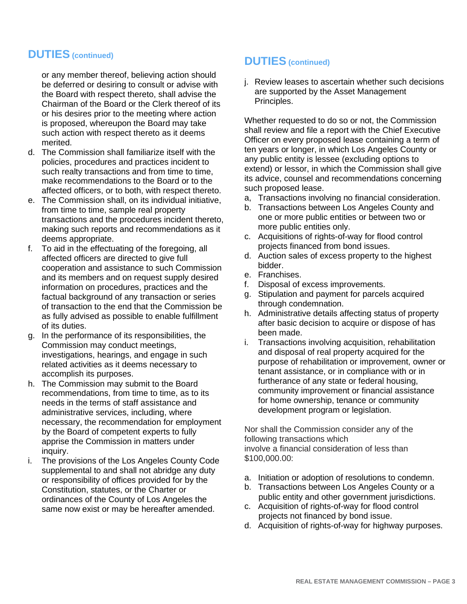#### **DUTIES (continued)**

or any member thereof, believing action should be deferred or desiring to consult or advise with the Board with respect thereto, shall advise the Chairman of the Board or the Clerk thereof of its or his desires prior to the meeting where action is proposed, whereupon the Board may take such action with respect thereto as it deems merited.

- d. The Commission shall familiarize itself with the policies, procedures and practices incident to such realty transactions and from time to time, make recommendations to the Board or to the affected officers, or to both, with respect thereto.
- e. The Commission shall, on its individual initiative, from time to time, sample real property transactions and the procedures incident thereto, making such reports and recommendations as it deems appropriate.
- f. To aid in the effectuating of the foregoing, all affected officers are directed to give full cooperation and assistance to such Commission and its members and on request supply desired information on procedures, practices and the factual background of any transaction or series of transaction to the end that the Commission be as fully advised as possible to enable fulfillment of its duties.
- g. In the performance of its responsibilities, the Commission may conduct meetings, investigations, hearings, and engage in such related activities as it deems necessary to accomplish its purposes.
- h. The Commission may submit to the Board recommendations, from time to time, as to its needs in the terms of staff assistance and administrative services, including, where necessary, the recommendation for employment by the Board of competent experts to fully apprise the Commission in matters under inquiry.
- i. The provisions of the Los Angeles County Code supplemental to and shall not abridge any duty or responsibility of offices provided for by the Constitution, statutes, or the Charter or ordinances of the County of Los Angeles the same now exist or may be hereafter amended.

#### **DUTIES (continued)**

j. Review leases to ascertain whether such decisions are supported by the Asset Management Principles.

Whether requested to do so or not, the Commission shall review and file a report with the Chief Executive Officer on every proposed lease containing a term of ten years or longer, in which Los Angeles County or any public entity is lessee (excluding options to extend) or lessor, in which the Commission shall give its advice, counsel and recommendations concerning such proposed lease.

- a, Transactions involving no financial consideration.
- b. Transactions between Los Angeles County and one or more public entities or between two or more public entities only.
- c. Acquisitions of rights-of-way for flood control projects financed from bond issues.
- d. Auction sales of excess property to the highest bidder.
- e. Franchises.
- f. Disposal of excess improvements.
- g. Stipulation and payment for parcels acquired through condemnation.
- h. Administrative details affecting status of property after basic decision to acquire or dispose of has been made.
- i. Transactions involving acquisition, rehabilitation and disposal of real property acquired for the purpose of rehabilitation or improvement, owner or tenant assistance, or in compliance with or in furtherance of any state or federal housing, community improvement or financial assistance for home ownership, tenance or community development program or legislation.

Nor shall the Commission consider any of the following transactions which involve a financial consideration of less than \$100,000.00:

- a. Initiation or adoption of resolutions to condemn.
- b. Transactions between Los Angeles County or a public entity and other government jurisdictions.
- c. Acquisition of rights-of-way for flood control projects not financed by bond issue.
- d. Acquisition of rights-of-way for highway purposes.